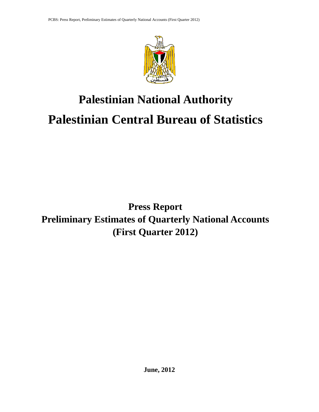

# **Palestinian National Authority Palestinian Central Bureau of Statistics**

# **Press Report Preliminary Estimates of Quarterly National Accounts (First Quarter 2012)**

**June, 2012**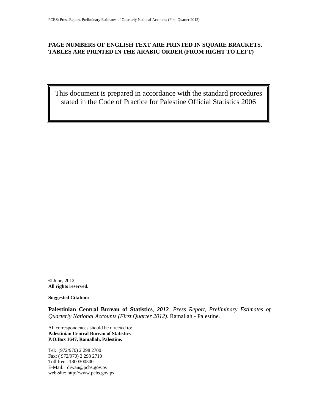#### **PAGE NUMBERS OF ENGLISH TEXT ARE PRINTED IN SQUARE BRACKETS. TABLES ARE PRINTED IN THE ARABIC ORDER (FROM RIGHT TO LEFT)**

This document is prepared in accordance with the standard procedures stated in the Code of Practice for Palestine Official Statistics 2006

© June, 2012. **All rights reserved.**

 $\overline{1}$ 

**Suggested Citation:** 

**Palestinian Central Bureau of Statistics**, *2012. Press Report, Preliminary Estimates of Quarterly National Accounts (First Quarter 2012).* Ramallah - Palestine.

All correspondences should be directed to: **Palestinian Central Bureau of Statistics P.O.Box 1647, Ramallah, Palestine.** 

Tel: (972/970) 2 298 2700 Fax: ( 972/970) 2 298 2710 Toll free.: 1800300300 E-Mail: diwan@pcbs.gov.ps web-site: http://www.pcbs.gov.ps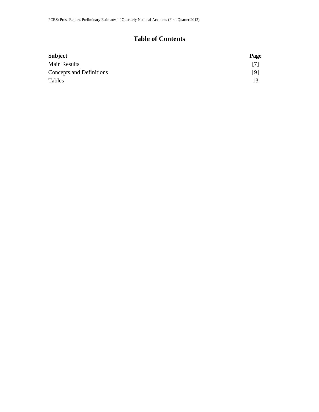# **Table of Contents**

| Subject                  | Page |
|--------------------------|------|
| <b>Main Results</b>      | [7]  |
| Concepts and Definitions | [9]  |
| Tables                   | 13   |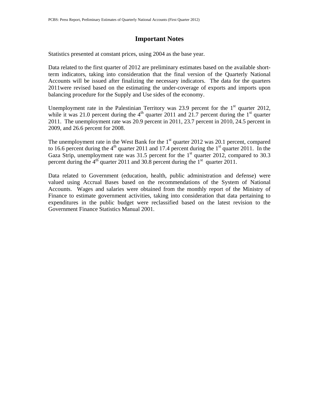### **Important Notes**

Statistics presented at constant prices, using 2004 as the base year.

Data related to the first quarter of 2012 are preliminary estimates based on the available shortterm indicators, taking into consideration that the final version of the Quarterly National Accounts will be issued after finalizing the necessary indicators. The data for the quarters 2011were revised based on the estimating the under-coverage of exports and imports upon balancing procedure for the Supply and Use sides of the economy.

Unemployment rate in the Palestinian Territory was 23.9 percent for the  $1<sup>st</sup>$  quarter 2012, while it was 21.0 percent during the  $4<sup>th</sup>$  quarter 2011 and 21.7 percent during the 1<sup>st</sup> quarter 2011. The unemployment rate was 20.9 percent in 2011, 23.7 percent in 2010, 24.5 percent in 2009, and 26.6 percent for 2008.

The unemployment rate in the West Bank for the  $1<sup>st</sup>$  quarter 2012 was 20.1 percent, compared to 16.6 percent during the  $4<sup>th</sup>$  quarter 2011 and 17.4 percent during the 1<sup>st</sup> quarter 2011. In the Gaza Strip, unemployment rate was 31.5 percent for the  $1<sup>st</sup>$  quarter 2012, compared to 30.3 percent during the  $4<sup>th</sup>$  quarter 2011 and 30.8 percent during the  $1<sup>st</sup>$  quarter 2011.

Data related to Government (education, health, public administration and defense) were valued using Accrual Bases based on the recommendations of the System of National Accounts. Wages and salaries were obtained from the monthly report of the Ministry of Finance to estimate government activities, taking into consideration that data pertaining to expenditures in the public budget were reclassified based on the latest revision to the Government Finance Statistics Manual 2001.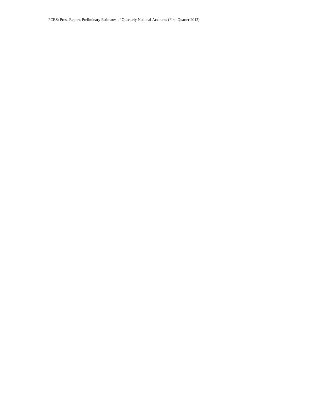PCBS: Press Report, Preliminary Estimates of Quarterly National Accounts (First Quarter 2012)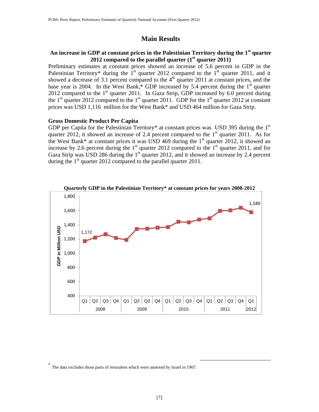#### **Main Results**

#### **An increase in GDP at constant prices in the Palestinian Territory during the 1st quarter 2012 compared to the parallel quarter (1st quarter 2011)**

Preliminary estimates at constant prices showed an increase of 5.6 percent in GDP in the Palestinian Territory\* during the  $1<sup>st</sup>$  quarter 2012 compared to the  $1<sup>st</sup>$  quarter 2011, and it showed a decrease of 3.1 percent compared to the  $4<sup>th</sup>$  quarter 2011 at constant prices, and the base year is 2004. In the West Bank,\* GDP increased by 5.4 percent during the  $1<sup>st</sup>$  quarter 2012 compared to the 1<sup>st</sup> quarter 2011. In Gaza Strip, GDP increased by 6.0 percent during the 1<sup>st</sup> quarter 2012 compared to the 1<sup>st</sup> quarter 2011. GDP for the 1<sup>st</sup> quarter 2012 at constant prices was USD 1,116 million for the West Bank\* and USD 464 million for Gaza Strip.

#### **Gross Domestic Product Per Capita**

GDP per Capita for the Palestinian Territory<sup>\*</sup> at constant prices was USD 395 during the  $1<sup>st</sup>$ quarter 2012, it showed an increase of 2.4 percent compared to the  $1<sup>st</sup>$  quarter 2011. As for the West Bank\* at constant prices it was USD 469 during the  $1<sup>st</sup>$  quarter 2012, it showed an increase by 2.6 percent during the 1<sup>st</sup> quarter 2012 compared to the 1<sup>st</sup> quarter 2011, and for Gaza Strip was USD 286 during the  $1<sup>st</sup>$  quarter 2012, and it showed an increase by 2.4 percent during the  $1<sup>st</sup>$  quarter 2012 compared to the parallel quarter 2011.



**Quarterly GDP in the Palestinian Territory\* at constant prices for years 2008-2012**

\*

 $\overline{a}$ 

The data excludes those parts of Jerusalem which were annexed by Israel in 1967.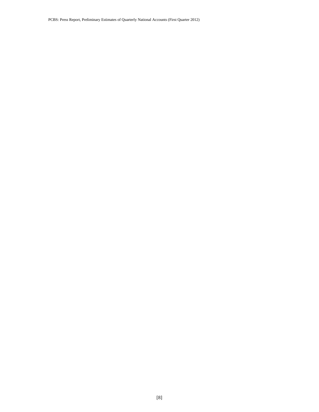PCBS: Press Report, Preliminary Estimates of Quarterly National Accounts (First Quarter 2012)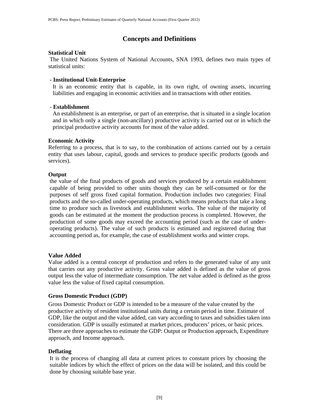### **Concepts and Definitions**

#### **Statistical Unit**

 The United Nations System of National Accounts, SNA 1993, defines two main types of statistical units:

#### **- Institutional Unit-Enterprise**

 It is an economic entity that is capable, in its own right, of owning assets, incurring liabilities and engaging in economic activities and in transactions with other entities.

#### - **Establishment**

 An establishment is an enterprise, or part of an enterprise, that is situated in a single location and in which only a single (non-ancillary) productive activity is carried out or in which the principal productive activity accounts for most of the value added.

#### **Economic Activity**

Referring to a process, that is to say, to the combination of actions carried out by a certain entity that uses labour, capital, goods and services to produce specific products (goods and services).

#### **Output**

the value of the final products of goods and services produced by a certain establishment capable of being provided to other units though they can be self-consumed or for the purposes of self gross fixed capital formation. Production includes two categories: Final products and the so-called under-operating products, which means products that take a long time to produce such as livestock and establishment works. The value of the majority of goods can be estimated at the moment the production process is completed. However, the production of some goods may exceed the accounting period (such as the case of underoperating products). The value of such products is estimated and registered during that accounting period as, for example, the case of establishment works and winter crops.

#### **Value Added**

Value added is a central concept of production and refers to the generated value of any unit that carries out any productive activity. Gross value added is defined as the value of gross output less the value of intermediate consumption. The net value added is defined as the gross value less the value of fixed capital consumption.

#### **Gross Domestic Product (GDP)**

Gross Domestic Product or GDP is intended to be a measure of the value created by the productive activity of resident institutional units during a certain period in time. Estimate of GDP, like the output and the value added, can vary according to taxes and subsidies taken into consideration. GDP is usually estimated at market prices, producers' prices, or basic prices. There are three approaches to estimate the GDP: Output or Production approach, Expenditure approach, and Income approach.

#### **Deflating**

It is the process of changing all data at current prices to constant prices by choosing the suitable indices by which the effect of prices on the data will be isolated, and this could be done by choosing suitable base year.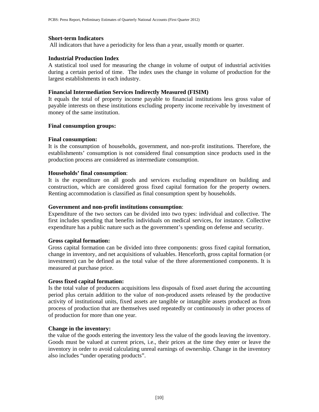#### **Short-term Indicators**

All indicators that have a periodicity for less than a year, usually month or quarter.

#### **Industrial Production Index**

A statistical tool used for measuring the change in volume of output of industrial activities during a certain period of time. The index uses the change in volume of production for the largest establishments in each industry.

#### **Financial Intermediation Services Indirectly Measured (FISIM)**

It equals the total of property income payable to financial institutions less gross value of payable interests on these institutions excluding property income receivable by investment of money of the same institution.

#### **Final consumption groups:**

#### **Final consumption:**

It is the consumption of households, government, and non-profit institutions. Therefore, the establishments' consumption is not considered final consumption since products used in the production process are considered as intermediate consumption.

#### **Households' final consumption**:

It is the expenditure on all goods and services excluding expenditure on building and construction, which are considered gross fixed capital formation for the property owners. Renting accommodation is classified as final consumption spent by households.

#### **Government and non-profit institutions consumption**:

Expenditure of the two sectors can be divided into two types: individual and collective. The first includes spending that benefits individuals on medical services, for instance. Collective expenditure has a public nature such as the government's spending on defense and security.

#### **Gross capital formation:**

Gross capital formation can be divided into three components: gross fixed capital formation, change in inventory, and net acquisitions of valuables. Henceforth, gross capital formation (or investment) can be defined as the total value of the three aforementioned components. It is measured at purchase price.

#### **Gross fixed capital formation:**

Is the total value of producers acquisitions less disposals of fixed asset during the accounting period plus certain addition to the value of non-produced assets released by the productive activity of institutional units, fixed assets are tangible or intangible assets produced as from process of production that are themselves used repeatedly or continuously in other process of of production for more than one year.

#### **Change in the inventory:**

the value of the goods entering the inventory less the value of the goods leaving the inventory. Goods must be valued at current prices, i.e., their prices at the time they enter or leave the inventory in order to avoid calculating unreal earnings of ownership. Change in the inventory also includes "under operating products".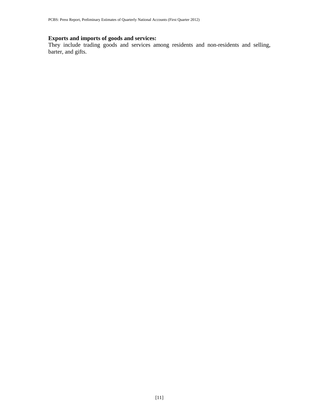#### **Exports and imports of goods and services:**

They include trading goods and services among residents and non-residents and selling, barter, and gifts.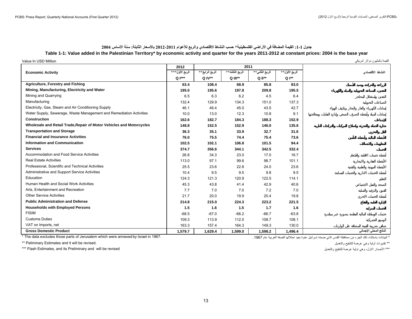#### جدول 1-1: القيمة المضافة في الأراضي الفلسطينية\* حسب النشاط الاقتصادي والربع للأعوام 2011-2012 بالأسعار الثابتة: سنة الأساس 2004

#### **Table 1-1: Value added in the Palestinian Territory\* by economic activity and quarter for the years 2011-2012 at constant prices: 2004 is the base year**

| Value In USD Million                                                 |                |                |                |                    |               | القيمة بالمليون دولار أمريكي |
|----------------------------------------------------------------------|----------------|----------------|----------------|--------------------|---------------|------------------------------|
|                                                                      | 2012           |                |                | 2011               |               |                              |
| <b>Economic Activity</b>                                             | الربع الأول*** | الربع الرابع** | الربع الثالث** | الربع الثاني**     | الربع الأول** | النشاط الاقتصادى             |
|                                                                      | Q  ***         | Q IV**         | Q III**        | $Q \parallel^{**}$ | $Q \mid^{**}$ |                              |
| Agriculture, Forestry and Fishing                                    | 63.4           | 108.4          | 68.9           | 85.8               | 83.0          |                              |
| Mining, Manufacturing, Electricity and Water                         | 195.0          | 195.6          | 197.8          | 209.8              | 195.5         |                              |
| Mining and Quarrying                                                 | 6.5            | 6.3            | 6.2            | 4.5                | 6.4           |                              |
| Manufacturing                                                        | 132.4          | 129.9          | 134.3          | 151.0              | 137.3         |                              |
| Electricity, Gas, Steam and Air Conditioning Supply                  | 46.1           | 46.4           | 45.0           | 43.5               | 42.7          |                              |
| Water Supply, Sewerage, Waste Management and Remediation Activities  | 10.0           | 13.0           | 12.3           | 10.8               | 9.1           |                              |
| Construction                                                         | 162.6          | 182.7          | 184.3          | 188.3              | 152.9         |                              |
| Wholesale and Retail Trade, Repair of Motor Vehicles and Motorcycles | 148.8          | 152.5          | 152.9          | 146.0              | 135.6         |                              |
| <b>Transportation and Storage</b>                                    | 36.3           | 35.1           | 33.9           | 32.7               | 31.6          |                              |
| <b>Financial and Insurance Activities</b>                            | 76.0           | 75.5           | 74.4           | 75.4               | 73.6          |                              |
| <b>Information and Communication</b>                                 | 102.5          | 102.1          | 106.8          | 101.5              | 94.4          |                              |
| <b>Services</b>                                                      | 374.7          | 356.6          | 344.1          | 342.5              | 332.4         |                              |
| Accommodation and Food Service Activities                            | 26.8           | 34.3           | 23.0           | 17.0               | 16.7          |                              |
| <b>Real Estate Activities</b>                                        | 113.0          | 97.1           | 99.6           | 98.7               | 101.1         |                              |
| Professional, Scientific and Technical Activities                    | 25.5           | 23.6           | 22.8           | 24.0               | 23.6          |                              |
| Administrative and Support Service Activities                        | 10.4           | 9.5            | 9.5            | 9.8                | 9.5           |                              |
| Education                                                            | 124.3          | 121.3          | 120.9          | 122.5              | 114.1         |                              |
| Human Health and Social Work Activities                              | 45.3           | 43.8           | 41.4           | 42.9               | 40.6          |                              |
| Arts, Entertainment and Recreation                                   | 7.7            | 7.0            | 7.0            | 7.2                | 7.0           |                              |
| <b>Other Service Activities</b>                                      | 21.7           | 20.0           | 19.9           | 20.4               | 19.8          |                              |
| <b>Public Administration and Defense</b>                             | 214.8          | 215.0          | 224.3          | 223.2              | 221.5         |                              |
| <b>Households with Employed Persons</b>                              | 1.5            | 1.6            | 1.5            | 1.7                | 1.6           |                              |
| <b>FISIM</b>                                                         | $-68.5$        | $-67.0$        | $-66.2$        | $-66.7$            | $-63.8$       |                              |
| <b>Customs Duties</b>                                                | 109.3          | 113.9          | 112.0          | 108.7              | 108.1         |                              |
| VAT on Imports, net                                                  | 163.3          | 157.4          | 164.3          | 149.3              | 130.0         |                              |
| <b>Gross Domestic Product</b>                                        | 1,579.7        | 1,629.4        | 1,599.0        | 1,598.2            | 1,496.4       | الناتج المحلى الإجمالي       |

\* البيانات باستثناء ذلك الجزء من محافظة القدس الذي ضمته إسرائيل عنوة بعيد احتلالها للضفة الغربية عام 1967. [19<br>\* البيانات باستثناء ذلك الجزء من محافظة القدس الذي ضمته إسرائيل عنوة بعيد احتلالها للضفة الغربية عام 1967. [19

\*\* Peliminary Estimates and it will be revised.

\*\*\* Flash Estimates, and its Preliminary and will be revised والتهديل الأول، وهي اولية عرضة التنقيح والتحديل ا

\*\* تقديرات أولية وهي عرضة للتنقيح والتعديل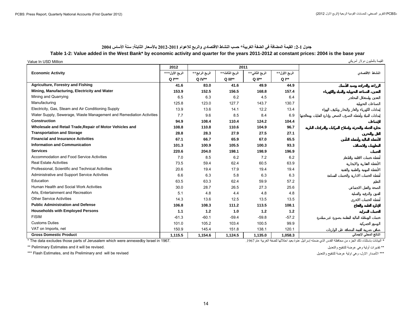#### جدول 1-2: القيمة المضافة في الضفة الغربية\* حسب النشاط الاقتصادي والربع للاعوام 2011-2012 بالأسعار الثابتة: سنة الأساس 2004

#### **Table 1-2: Value added in the West Bank\* by economic activity and quarter for the years 2011-2012 at constant prices: 2004 is the base year**

القيمة بالمليون دولار أمريكي Million USD In Value **2012الربع الأول\*\* الربع الثاني\*\* الربع الثالث\*\* الربع الرابع\*\* الربع الأول\*\*\* Q I\*\*\* Q IV\*\* Q III\*\* Q II\*\* Q I\*\*Agriculture, Forestry and Fishing 41.6 83.0 41.6 49.9 44.9 Mining, Manufacturing, Electricity and Water 153.9 152.5 156.5 168.8 157.4** Mining and Quarrying **6.4 6.4 6.4 6.4 6.5 6.3 6.2 4.5 6.4 6.4 6.4 6.4 6.4 6.4 6.4 6.4 6.4 6.4 6.4 6.4 6.4 6.4 6.4 6.4 6.4 6.4 6.4 6.4 6.4 6.4 6.4 6.4 6.4 6.** Manufacturing 125.8 123.0 127.7 143.7 130.7Electricity, Gas, Steam and Air Conditioning Supply 13.9 13.9 13.6 14.1 12.2 13.4 Water Supply, Sewerage, Waste Management and Remediation Activities | 7.7 9.6 8.5 8.4 6.9 **Construction 94.9 108.4 110.4 124.2 104.4Wholesale and Retail Trade,Repair of Motor Vehicles and 108.8 110.8 110.6 104.9 96.7 Transportation and Storage 28.8 28.3 27.9 27.5 27.1 Financial and Insurance Activities 67.1 66.7 65.9 67.0 65.5Information and Communication 101.3 100.9 105.5 100.3 93.3Services 220.6 204.0 198.1 198.9 196.9**Accommodation and Food Service Activities 7.0 8.5 6.2 7.2 6.2Real Estate Activities 73.5 59.4 62.4 60.5 63.9Professional, Scientific and Technical Activities 20.6 19.4 17.9 19.4 17.9 19.4 19.4 Administrative and Support Service Activities 6.3 6.3 6.3 6.3 6.3 6.3 6.3 6.3 6.3 Education 63.5 63.3 62.4 59.9 57.2Human Health and Social Work Activities 30.0 28.7 26.5 27.3 25.6Arts, Entertainment and Recreation 6.1 6.1 4.8 4.4 4.8 4.8 4.8 4.8 4.8 4.8 4.8 Other Service Activities13.5 13.5 13.5 13.6 13.6 12.5 13.5 13.5 **Public Administration and Defense 106.8 108.3 111.2 113.5 108.1Households with Employed Persons 1.1 1.2 1.0 1.2 1.2** FISIM -61.3 -60.1 -59.4 -59.8 -57.2Customs Duties 101.0 105.2 103.4 100.5 99.9VAT on Imports, net 150.9 145.4 151.8 138.1 120.1 **الناتج المحلي الإجمالي 1,058.3 1,135.0 1,124.5 1,154.6 1,115.5 Product Domestic Gross النشاط الاقتصادي Activity Economic 2011**

\* البيانات باستثناء ذلك الجزء من محافظة القدس الذي ضمته إسرائيل عنوة بعيد احتلالها للضفة الغربية عام 1967. In i

\*\* Peliminary Estimates and it will be revised. والتعديل للتنقيح عرضة وهي أولية تقديرات\*\*

\*\*\* Flash Estimates, and its Preliminary and will be revised والتعديل للتنقيح عرضة اولية وهي ،الاول الأصدار\*\*\*

14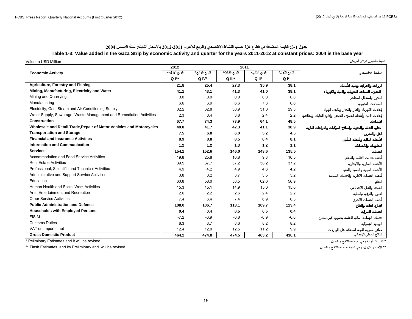#### جدول 1-3: القيمة المضافة في قطاع غزة حسب النشاط الاقتصادي والربع للأعوام 2011-2012 بالأسعار الثابتة: سنة الأساس 2004

#### **Table 1-3: Value added in the Gaza Strip by economic activity and quarter for the years 2011-2012 at constant prices: 2004 is the base year**

| Value In USD Million                                                 |               |               |               |               |              | القيمة بالمليون دولار أمريكي |
|----------------------------------------------------------------------|---------------|---------------|---------------|---------------|--------------|------------------------------|
|                                                                      | 2012          |               | 2011          |               |              |                              |
| <b>Economic Activity</b>                                             | الربع الأول** | الربع الرابع* | الربع الثالث* | الربع الثاني* | الربع الأول* | النشاط الاقتصادي             |
|                                                                      | $Q \mid^{**}$ | Q IV*         | Q III*        | Q II*         | $Q I^*$      |                              |
| <b>Agriculture, Forestry and Fishing</b>                             | 21.8          | 25.4          | 27.3          | 35.9          | 38.1         |                              |
| Mining, Manufacturing, Electricity and Water                         | 41.1          | 43.1          | 41.3          | 41.0          | 38.1         |                              |
| Mining and Quarrying                                                 | 0.0           | 0.0           | 0.0           | 0.0           | 0.0          |                              |
| Manufacturing                                                        | 6.6           | 6.9           | 6.6           | 7.3           | 6.6          |                              |
| Electricity, Gas, Steam and Air Conditioning Supply                  | 32.2          | 32.8          | 30.9          | 31.3          | 29.3         |                              |
| Water Supply, Sewerage, Waste Management and Remediation Activities  | 2.3           | 3.4           | 3.8           | 2.4           | 2.2          |                              |
| Construction                                                         | 67.7          | 74.3          | 73.9          | 64.1          | 48.5         |                              |
| Wholesale and Retail Trade, Repair of Motor Vehicles and Motorcycles | 40.0          | 41.7          | 42.3          | 41.1          | 38.9         |                              |
| <b>Transportation and Storage</b>                                    | 7.5           | 6.8           | 6.0           | 5.2           | 4.5          |                              |
| <b>Financial and Insurance Activities</b>                            | 8.9           | 8.8           | 8.5           | 8.4           | 8.1          |                              |
| <b>Information and Communication</b>                                 | $1.2$         | $1.2$         | 1.3           | $1.2$         | 1.1          |                              |
| <b>Services</b>                                                      | 154.1         | 152.6         | 146.0         | 143.6         | 135.5        |                              |
| Accommodation and Food Service Activities                            | 19.8          | 25.8          | 16.8          | 9.8           | 10.5         |                              |
| <b>Real Estate Activities</b>                                        | 39.5          | 37.7          | 37.2          | 38.2          | 37.2         |                              |
| Professional, Scientific and Technical Activities                    | 4.9           | 4.2           | 4.9           | 4.6           | 4.2          |                              |
| Administrative and Support Service Activities                        | 3.8           | 3.2           | 3.7           | 3.5           | 3.2          |                              |
| Education                                                            | 60.8          | 58.0          | 58.5          | 62.6          | 56.9         |                              |
| Human Health and Social Work Activities                              | 15.3          | 15.1          | 14.9          | 15.6          | 15.0         |                              |
| Arts, Entertainment and Recreation                                   | 2.6           | 2.2           | 2.6           | 2.4           | 2.2          |                              |
| <b>Other Service Activities</b>                                      | 7.4           | 6.4           | 7.4           | 6.9           | 6.3          |                              |
| <b>Public Administration and Defense</b>                             | 108.0         | 106.7         | 113.1         | 109.7         | 113.4        |                              |
| <b>Households with Employed Persons</b>                              | 0.4           | 0.4           | 0.5           | 0.5           | 0.4          |                              |
| <b>FISIM</b>                                                         | $-7.2$        | $-6.9$        | $-6.8$        | $-6.9$        | $-6.6$       |                              |
| <b>Customs Duties</b>                                                | 8.3           | 8.7           | 8.6           | 8.2           | 8.2          |                              |
| VAT on Imports, net                                                  | 12.4          | 12.0          | 12.5          | 11.2          | 9.9          |                              |
| <b>Gross Domestic Product</b>                                        | 464.2         | 474.8         | 474.5         | 463.2         | 438.1        | الناتج المحلي الإجمالي       |

\* تقديرات أولية وهي عرضة للتنقيح والتعديل للتنقيح والتعديل للتنقيح عرضة للتنقيح والتعديل للتعليم والتعديل للتع

\*\* Flash Estimates, and its Preliminary and will be revised والتعديل للتنقيح عرضة اولية وهي ،الاول الأصدار\*\*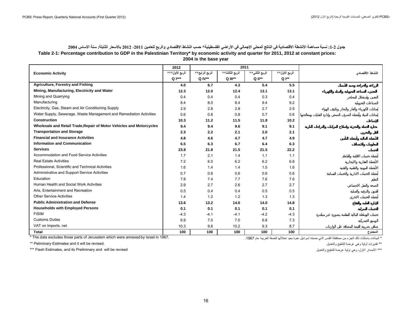#### جدول 2-1: نسبة مساهمة الأنشطة الاقتصادية في الناتج المحلي الإجمالي في الأراضي الفلسطينية\* حسب النشاط الاقتصادي والربع للعامين 2011، 2012 بالأسعار الثابتة: سنة الأساس 2004  **Table 2-1: Percentage contribution to GDP in the Palestinian Territory\* by economic activity and quarter for 2011, 2012 at constant prices: 2004 is the base year**

|                                                                      | 2012           |                | 2011           |                    |               |                  |
|----------------------------------------------------------------------|----------------|----------------|----------------|--------------------|---------------|------------------|
| <b>Economic Activity</b>                                             | الربع الأول*** | الربع الرابع** | الربع الثالث** | الربع الثاني**     | الربع الأول** | النشاط الاقتصادي |
|                                                                      | Q  ***         | Q IV**         | Q III**        | $Q \parallel^{**}$ | Q  **         |                  |
| Agriculture, Forestry and Fishing                                    | 4.0            | 6.7            | 4.3            | 5.4                | 5.5           |                  |
| Mining, Manufacturing, Electricity and Water                         | 12.3           | 12.0           | 12.4           | 13.1               | 13.1          |                  |
| Mining and Quarrying                                                 | 0.4            | 0.4            | 0.4            | 0.3                | 0.4           |                  |
| Manufacturing                                                        | 8.4            | 8.0            | 8.4            | 9.4                | 9.2           |                  |
| Electricity, Gas, Steam and Air Conditioning Supply                  | 2.9            | 2.8            | 2.8            | 2.7                | 2.9           |                  |
| Water Supply, Sewerage, Waste Management and Remediation Activities  | 0.6            | 0.8            | 0.8            | 0.7                | 0.6           |                  |
| <b>Construction</b>                                                  | 10.3           | 11.2           | 11.5           | 11.8               | 10.2          |                  |
| Wholesale and Retail Trade, Repair of Motor Vehicles and Motorcycles | 9.4            | 9.4            | 9.6            | 9.1                | 9.1           |                  |
| <b>Transportation and Storage</b>                                    | 2.3            | 2.2            | 2.1            | 2.0                | 2.1           |                  |
| <b>Financial and Insurance Activities</b>                            | 4.8            | 4.6            | 4.7            | 4.7                | 4.9           |                  |
| <b>Information and Communication</b>                                 | 6.5            | 6.3            | 6.7            | 6.4                | 6.3           |                  |
| <b>Services</b>                                                      | 23.8           | 21.8           | 21.5           | 21.5               | 22.2          |                  |
| Accommodation and Food Service Activities                            | 1.7            | 2.1            | 1.4            | 1.1                | 1.1           |                  |
| <b>Real Estate Activities</b>                                        | 7.2            | 6.0            | 6.2            | 6.2                | 6.8           |                  |
| Professional, Scientific and Technical Activities                    | 1.6            | 1.4            | 1.4            | 1.5                | 1.6           |                  |
| Administrative and Support Service Activities                        | 0.7            | 0.6            | 0.6            | 0.6                | 0.6           |                  |
| Education                                                            | 7.8            | 7.4            | 7.7            | 7.6                | 7.6           |                  |
| Human Health and Social Work Activities                              | 2.9            | 2.7            | 2.6            | 2.7                | 2.7           |                  |
| Arts, Entertainment and Recreation                                   | 0.5            | 0.4            | 0.4            | 0.5                | 0.5           |                  |
| <b>Other Service Activities</b>                                      | 1.4            | 1.2            | 1.2            | 1.3                | 1.3           |                  |
| <b>Public Administration and Defense</b>                             | 13.6           | 13.2           | 14.0           | 14.0               | 14.8          |                  |
| <b>Households with Employed Persons</b>                              | 0.1            | 0.1            | 0.1            | 0.1                | 0.1           |                  |
| <b>FISIM</b>                                                         | $-4.3$         | $-4.1$         | $-4.1$         | $-4.2$             | $-4.3$        |                  |
| <b>Customs Duties</b>                                                | 6.9            | 7.0            | 7.0            | 6.8                | 7.3           |                  |
| VAT on Imports, net                                                  | 10.3           | 9.6            | 10.2           | 9.3                | 8.7           |                  |
| Total                                                                | 100            | 100            | 100            | 100                | 100           | المجموع          |

\* البيانات باستثناء ذلك الجزء من محافظة القدس الذي ضمته إسرائيل عنوة بعيد احتلالها للضفة الغربية عام 1967 1967<br>\* البيانات باستثناء ناك الجزء من محافظة القدس الذي ضمته إسرائيل عنوة بعيد احتلالها للضفة الغربية عام 1967 1967

\*\* Peliminary Estimates and it will be revised. متقديرات أولية وهي عرضة للتنقيح والتعديل التعليج والتعديل التعديلات أولية وهي عرضة للتنقيح والتعديل التعديم التعديل التعديل التعديلات أولية وهي عرضة للتنقيح والتعديل

\*\*\* Flash Estimates, and its Preliminary and will be revised والتحديل الأول، وهي اولية عرضة التنقيح والتعديل ا

16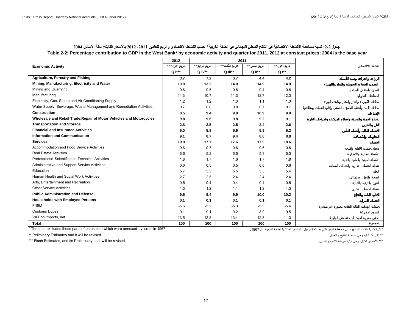|                                                                      | 2012           |                | 2011           |                |               |                  |
|----------------------------------------------------------------------|----------------|----------------|----------------|----------------|---------------|------------------|
| <b>Economic Activity</b>                                             | الربع الأول*** | الربع الرابع** | الربع الثالث** | الربع الثانى** | الربع الأول** | النشاط الاقتصادي |
|                                                                      | $Q I***$       | Q IV**         | Q III**        | Q II**         | Q  **         |                  |
| <b>Agriculture, Forestry and Fishing</b>                             | 3.7            | 7.2            | 3.7            | 4.4            | 4.2           |                  |
| Mining, Manufacturing, Electricity and Water                         | 13.8           | 13.2           | 14.0           | 14.9           | 14.9          |                  |
| Mining and Quarrying                                                 | 0.6            | 0.5            | 0.6            | 0.4            | 0.6           |                  |
| Manufacturing                                                        | 11.3           | 10.7           | 11.3           | 12.7           | 12.3          |                  |
| Electricity, Gas, Steam and Air Conditioning Supply                  | 1.2            | 1.2            | 1.3            | 1.1            | 1.3           |                  |
| Water Supply, Sewerage, Waste Management and Remediation Activities  | 0.7            | 0.8            | 0.8            | 0.7            | 0.7           |                  |
| <b>Construction</b>                                                  | 8.5            | 9.4            | 9.8            | 10.9           | 9.9           |                  |
| Wholesale and Retail Trade, Repair of Motor Vehicles and Motorcycles | 9.8            | 9.6            | 9.8            | 9.2            | 9.1           |                  |
| <b>Transportation and Storage</b>                                    | 2.6            | 2.5            | 2.5            | 2.4            | 2.6           |                  |
| <b>Financial and Insurance Activities</b>                            | 6.0            | 5.8            | 5.9            | 5.9            | 6.2           |                  |
| <b>Information and Communication</b>                                 | 9.1            | 8.7            | 9.4            | 8.8            | 8.8           |                  |
| <b>Services</b>                                                      | 19.8           | 17.7           | 17.6           | 17.5           | 18.6          |                  |
| Accommodation and Food Service Activities                            | 0.6            | 0.7            | 0.6            | 0.6            | 0.6           |                  |
| <b>Real Estate Activities</b>                                        | 6.6            | 5.2            | 5.5            | 5.3            | 6.0           |                  |
| Professional, Scientific and Technical Activities                    | 1.8            | 1.7            | 1.6            | 1.7            | 1.8           |                  |
| Administrative and Support Service Activities                        | 0.6            | 0.5            | 0.5            | 0.6            | 0.6           |                  |
| Education                                                            | 5.7            | 5.5            | 5.5            | 5.3            | 5.4           |                  |
| Human Health and Social Work Activities                              | 2.7            | 2.5            | 2.4            | 2.4            | 2.4           |                  |
| Arts, Entertainment and Recreation                                   | 0.5            | 0.4            | 0.4            | 0.4            | 0.5           |                  |
| <b>Other Service Activities</b>                                      | 1.3            | 1.2            | 1.1            | 1.2            | 1.3           |                  |
| <b>Public Administration and Defense</b>                             | 9.6            | 9.4            | 9.9            | 10.0           | 10.2          |                  |
| <b>Households with Employed Persons</b>                              | 0.1            | 0.1            | 0.1            | 0.1            | 0.1           |                  |
| <b>FISIM</b>                                                         | $-5.6$         | $-5.2$         | $-5.3$         | $-5.3$         | $-5.4$        |                  |
| <b>Customs Duties</b>                                                | 9.1            | 9.1            | 9.2            | 8.9            | 9.5           |                  |
| VAT on Imports, net                                                  | 13.5           | 12.5           | 13.4           | 12.3           | 11.3          |                  |
| <b>Total</b>                                                         | 100            | 100            | 100            | 100            | 100           | المجموع          |

#### جدول 2-2: نسبة مساهمة الأنشطة الاقتصادية في الناتج المحلي الإجمالي في الضفة الغربية\* حسب النشاط الاقتصادي والربع للعامين 2011، 2012 بالأسعار الثابتة: سنة الأساس 2004  **Table 2-2: Percentage contribution to GDP in the West Bank\* by economic activity and quarter for 2011, 2012 at constant prices: 2004 is the base year**

\* البيانات باستثناء ذلك الجزء من محافظة القدس الذي ضمته إسرائيل عنوة بعيد احتلالها للضفة الغربية عام 1967 . [1

\*\* Deliminary Estimates and it will be revised. وهي عرضة للتنقيح والتحديل التنقيح والتحديل للتنقيح عرضة للتنقيح والتحديل مستقدر التعديل

\*\*\* Flash Estimates, and its Preliminary and will be revised والتعديل الأول، وهي اولية عرضة التنقيح والتعديل ا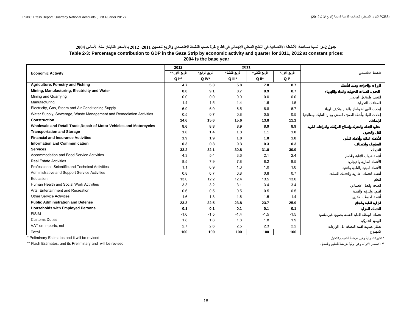#### جدول 2-3: نسبة مساهمة الأنشطة الاقتصادية في الناتج المحلي الإجمالي في قطاع غزة حسب النشاط الاقتصادي والربع للعامين 2011، 2012 بالأسعار الثابتة: سنة الأساس 2004  **Table 2-3: Percentage contribution to GDP in the Gaza Strip by economic activity and quarter for 2011, 2012 at constant prices: 2004 is the base year**

|                                                                      | 2012          |               |               | 2011          |              |                  |
|----------------------------------------------------------------------|---------------|---------------|---------------|---------------|--------------|------------------|
| <b>Economic Activity</b>                                             | الربع الأول** | الربع الرابع* | الربع الثالث* | الربع الثاني* | الربع الأول* | النشاط الاقتصادي |
|                                                                      | $Q \mid^{**}$ | Q IV*         | Q III*        | Q II*         | Q I*         |                  |
| <b>Agriculture, Forestry and Fishing</b>                             | 4.7           | 5.3           | 5.8           | 7.8           | 8.7          |                  |
| Mining, Manufacturing, Electricity and Water                         | 8.8           | 9.1           | 8.7           | 8.9           | 8.7          |                  |
| Mining and Quarrying                                                 | 0.0           | 0.0           | 0.0           | 0.0           | 0.0          |                  |
| Manufacturing                                                        | 1.4           | 1.5           | 1.4           | 1.6           | 1.5          |                  |
| Electricity, Gas, Steam and Air Conditioning Supply                  | 6.9           | 6.9           | 6.5           | 6.8           | 6.7          |                  |
| Water Supply, Sewerage, Waste Management and Remediation Activities  | 0.5           | 0.7           | 0.8           | 0.5           | 0.5          |                  |
| <b>Construction</b>                                                  | 14.6          | 15.6          | 15.6          | 13.8          | 11.1         |                  |
| Wholesale and Retail Trade, Repair of Motor Vehicles and Motorcycles | 8.6           | 8.8           | 8.9           | 8.9           | 8.9          |                  |
| <b>Transportation and Storage</b>                                    | 1.6           | $1.4$         | 1.3           | 1.1           | 1.0          |                  |
| <b>Financial and Insurance Activities</b>                            | 1.9           | 1.9           | 1.8           | 1.8           | 1.8          |                  |
| <b>Information and Communication</b>                                 | 0.3           | 0.3           | 0.3           | 0.3           | 0.3          |                  |
| <b>Services</b>                                                      | 33.2          | 32.1          | 30.8          | 31.0          | 30.9         |                  |
| Accommodation and Food Service Activities                            | 4.3           | 5.4           | 3.6           | 2.1           | 2.4          |                  |
| <b>Real Estate Activities</b>                                        | 8.5           | 7.9           | 7.8           | 8.2           | 8.5          |                  |
| Professional, Scientific and Technical Activities                    | 1.1           | 0.9           | 1.0           | 1.0           | 1.0          |                  |
| Administrative and Support Service Activities                        | 0.8           | 0.7           | 0.8           | 0.8           | 0.7          |                  |
| Education                                                            | 13.0          | 12.2          | 12.4          | 13.5          | 13.0         |                  |
| Human Health and Social Work Activities                              | 3.3           | 3.2           | 3.1           | 3.4           | 3.4          |                  |
| Arts, Entertainment and Recreation                                   | 0.6           | 0.5           | 0.5           | 0.5           | 0.5          |                  |
| <b>Other Service Activities</b>                                      | 1.6           | 1.3           | 1.6           | 1.5           | 1.4          |                  |
| <b>Public Administration and Defense</b>                             | 23.3          | 22.5          | 23.8          | 23.7          | 25.9         |                  |
| <b>Households with Employed Persons</b>                              | 0.1           | 0.1           | 0.1           | 0.1           | 0.1          |                  |
| <b>FISIM</b>                                                         | $-1.6$        | $-1.5$        | $-1.4$        | $-1.5$        | $-1.5$       |                  |
| <b>Customs Duties</b>                                                | 1.8           | 1.8           | 1.8           | 1.8           | 1.9          |                  |
| VAT on Imports, net                                                  | 2.7           | 2.6           | 2.5           | 2.3           | 2.2          |                  |
| <b>Total</b>                                                         | 100           | 100           | 100           | 100           | 100          | المجموع          |

\* Peliminary Estimates and it will be revised. والتية توهي عرضة للتنقيح والتعديل التعديل التنقيح عرضة للتنقيح والتعديل

\*\* Flash Estimates, and its Preliminary and will be revised والتعديل للتنقيح عرضة اولية وهي ،الاول الأصدار\*\*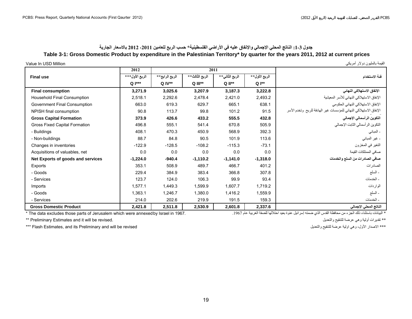## جدول 3-1: الناتج المحلي الإجمالي والإنفاق عليه في الأراضي الفلسطينية\* حسب الربع للعامين 2011، 2012 بالاسعار الجارية

#### **Table 3-1: Gross Domestic Product by expenditure in the Palestinian Territory\* by quarter for the years 2011, 2012 at current prices**

القيمة بالمليون دولار أمريكي Million USD In Value

|                                      | 2012           |                |                | 2011           |               |                                                                   |
|--------------------------------------|----------------|----------------|----------------|----------------|---------------|-------------------------------------------------------------------|
| <b>Final use</b>                     | الربع الأول*** | الربع الرابع** | الربع الثالث** | الربع الثاني** | الربع الأول** | فئة الاستخدام                                                     |
|                                      | $Q ***$        | $Q IV**$       | Q III**        | Q II**         | $Q \mid^{**}$ |                                                                   |
| <b>Final consumption</b>             | 3,271.9        | 3,025.6        | 3,207.9        | 3,187.3        | 3,222.8       | الإنفاق الاستهلاكي النهائي                                        |
| Household Final Consumption          | 2,518.1        | 2,292.6        | 2,478.4        | 2,421.0        | 2,493.2       | الإنفاق الاستهلاكي النهائي للأسر المعيشية                         |
| Government Final Consumption         | 663.0          | 619.3          | 629.7          | 665.1          | 638.1         | الإنفاق الاستهلاكي النهائي الحكومي                                |
| NPISH final consumption              | 90.8           | 113.7          | 99.8           | 101.2          | 91.5          | الإنفاق الاستهلاكي النهائي للمؤسسات غير الهادفة للربح وتخدم الأسر |
| <b>Gross Capital Formation</b>       | 373.9          | 426.6          | 433.2          | 555.5          | 432.8         | التكوين الرأسمالي الإجمالي                                        |
| <b>Gross Fixed Capital Formation</b> | 496.8          | 555.1          | 541.4          | 670.8          | 505.9         | التكوين الرأسمالي الثابت الإجمالي                                 |
| - Buildings                          | 408.1          | 470.3          | 450.9          | 568.9          | 392.3         | ۔ المباني                                                         |
| - Non-buildings                      | 88.7           | 84.8           | 90.5           | 101.9          | 113.6         | ۔ غیر المبانی                                                     |
| Changes in inventories               | $-122.9$       | $-128.5$       | $-108.2$       | $-115.3$       | $-73.1$       | التغير في المخزون                                                 |
| Acquisitions of valuables, net       | 0.0            | 0.0            | 0.0            | 0.0            | 0.0           | صافى الممتلكات القيمة                                             |
| Net Exports of goods and services    | $-1,224.0$     | $-940.4$       | $-1,110.2$     | $-1,141.0$     | $-1,318.0$    | صافي الصادرات من السلع والخدمات                                   |
| Exports                              | 353.1          | 508.9          | 489.7          | 466.7          | 401.2         | الصادرات                                                          |
| - Goods                              | 229.4          | 384.9          | 383.4          | 366.8          | 307.8         | - السلع                                                           |
| - Services                           | 123.7          | 124.0          | 106.3          | 99.9           | 93.4          | - الخدمات                                                         |
| Imports                              | 1,577.1        | 1,449.3        | 1,599.9        | 1,607.7        | 1,719.2       | الواردات                                                          |
| - Goods                              | 1,363.1        | 1,246.7        | 1,380.0        | 1,416.2        | 1,559.9       | - السلع                                                           |
| - Services                           | 214.0          | 202.6          | 219.9          | 191.5          | 159.3         | - الخدمات                                                         |
| <b>Gross Domestic Product</b>        | 2,421.8        | 2,511.8        | 2,530.9        | 2,601.8        | 2,337.6       | الناتج المحلى الإجمالي                                            |

\* البيانات باستثناء ذلك الجزء من محافظة القدس الذي ضمته إسرائيل عنوة بعيد احتلالها للضفة الغربية عام 1967 . [1

\*\* Preliminary Estimates and it will be revised. والتعديل التنقيح والتعديل للتنقيح والتعديل للتنقيح عرضة للتنقيح والتعديل مستقيح التعديل للتنقيح عرضة للتنقيح والتعديل المستقيح عرضة للتنقيح والتعديل السياسي التنقيح والتعدي

\*\*\* Flash Estimates, and its Preliminary and will be revised والتعديل الأول، وهي اولية عرضة التنقيح والتعديل ا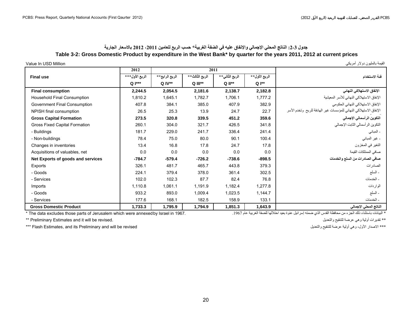# جدول 3-2: الناتج المحلي الإجمالي والإنفاق عليه في الضفة الغربية\* حسب الربع للعامين 2011، 2012 بالاسعار الجارية

#### **Table 3-2: Gross Domestic Product by expenditure in the West Bank\* by quarter for the years 2011, 2012 at current prices**

القيمة بالمليون دولار أمريكي Million USD In Value

| <b>Final use</b>                  | الربع الأول*** | الربع الرابع** | الربع الثالث** | الربع الثان <i>ي**</i> | الربع الأول** | فئة الاستخدام                                                     |
|-----------------------------------|----------------|----------------|----------------|------------------------|---------------|-------------------------------------------------------------------|
|                                   | Q  ***         | $Q IV**$       | $Q$ $   **$    | $Q \parallel^{**}$     | $Q \mid^{**}$ |                                                                   |
| <b>Final consumption</b>          | 2,244.5        | 2,054.5        | 2,181.6        | 2,138.7                | 2,182.8       | الإنفاق الاستهلاكي النهائي                                        |
| Household Final Consumption       | 1,810.2        | 1,645.1        | 1,782.7        | 1,706.1                | 1,777.2       | الإنفاق الاستهلاكي النهائي للأسر المعيشية                         |
| Government Final Consumption      | 407.8          | 384.1          | 385.0          | 407.9                  | 382.9         | الإنفاق الاستهلاكي النهائي الحكومي                                |
| NPISH final consumption           | 26.5           | 25.3           | 13.9           | 24.7                   | 22.7          | الإنفاق الاستهلاكي النهائي للمؤسسات غير الهادفة للربح وتخدم الأسر |
| <b>Gross Capital Formation</b>    | 273.5          | 320.8          | 339.5          | 451.2                  | 359.6         | التكوين الرأسمالي الإجمالي                                        |
| Gross Fixed Capital Formation     | 260.1          | 304.0          | 321.7          | 426.5                  | 341.8         | النكوين الرأسمالي الثابت الإجمالي                                 |
| - Buildings                       | 181.7          | 229.0          | 241.7          | 336.4                  | 241.4         | ۔ المباني                                                         |
| - Non-buildings                   | 78.4           | 75.0           | 80.0           | 90.1                   | 100.4         | ۔ غیر المبانی                                                     |
| Changes in inventories            | 13.4           | 16.8           | 17.8           | 24.7                   | 17.8          | التغير في المخزون                                                 |
| Acquisitions of valuables, net    | 0.0            | 0.0            | 0.0            | 0.0                    | 0.0           | صافي الممتلكات القيمة                                             |
| Net Exports of goods and services | $-784.7$       | $-579.4$       | $-726.2$       | $-738.6$               | $-898.5$      | صافي الصادرات من السلع والخدمات                                   |
| Exports                           | 326.1          | 481.7          | 465.7          | 443.8                  | 379.3         | الصادرات                                                          |
| - Goods                           | 224.1          | 379.4          | 378.0          | 361.4                  | 302.5         | - السلع                                                           |
| - Services                        | 102.0          | 102.3          | 87.7           | 82.4                   | 76.8          | - الخدمات                                                         |
| Imports                           | 1,110.8        | 1,061.1        | 1,191.9        | 1,182.4                | 1,277.8       | الواردات                                                          |
| - Goods                           | 933.2          | 893.0          | 1,009.4        | 1,023.5                | 1,144.7       | - السلع                                                           |
| - Services                        | 177.6          | 168.1          | 182.5          | 158.9                  | 133.1         | - الخدمات                                                         |
| <b>Gross Domestic Product</b>     | 1,733.3        | 1,795.9        | 1,794.9        | 1,851.3                | 1,643.9       | الناتج المحلى الإجمالي                                            |

\* البيانات باستثناء ذلك الجزء من محافظة القدس الذي ضمته إسرائيل عنوة بعيد احتلالها للضفة الغربية عام 1967 .<br>\* البيانات باستثناء ذلك الجزء من محافظة القدس الذي ضمته إسرائيل عنوة بعيد احتلالها للضفة الغربية عام 1967 .

\*\* Preliminary Estimates and it will be revised. والتعديل التنقيح والتعديل للتنقيح والتعديل للتنقيح عرضة للتنقيح والتعديل للتنقيح عرضة للتنقيح والتعديل للتنقيح عرضة للتنقيح والتعديل للتنقيح عرضة للتنقيح والتعديل للتنقيح و

\*\*\* Flash Estimates, and its Preliminary and will be revised والتعديل للتنقيح عرضة أولية وهي ،الأول الاصدار\*\*\*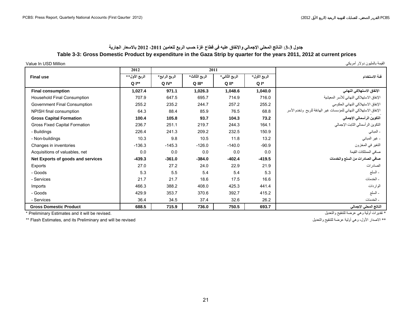# جدول 3-3: الناتج المحلي الإجمالي والإنفاق عليه في قطاع غزة حسب الربع للعامين 2011، 2012 بالاسعار الجارية

#### **Table 3-3: Gross Domestic Product by expenditure in the Gaza Strip by quarter for the years 2011, 2012 at current prices**

القيمة بالمليون دولار أمريكي Million USD In Value

|                                      | 2012          |               | 2011          |               |              |                                                                   |
|--------------------------------------|---------------|---------------|---------------|---------------|--------------|-------------------------------------------------------------------|
| <b>Final use</b>                     | الربع الأول** | الربع الرابع* | الربع الثالث* | الربع الثاني* | الربع الأول* | فئة الاستخدام                                                     |
|                                      | $Q \mid^{**}$ | $Q IV^*$      | $Q$ $   $ *   | Q ll*         | $Q I^*$      |                                                                   |
| <b>Final consumption</b>             | 1,027.4       | 971.1         | 1,026.3       | 1,048.6       | 1,040.0      | الإنفاق الاستهلاكي النهائي                                        |
| Household Final Consumption          | 707.9         | 647.5         | 695.7         | 714.9         | 716.0        | الإنفاق الاستهلاكي النهائي للأسر المعيشية                         |
| Government Final Consumption         | 255.2         | 235.2         | 244.7         | 257.2         | 255.2        | الإنفاق الاستهلاكي النهائي الحكومي                                |
| NPISH final consumption              | 64.3          | 88.4          | 85.9          | 76.5          | 68.8         | الإنفاق الاستهلاكي النهائي للمؤسسات غير الهادفة للربح وتخدم الأسر |
| <b>Gross Capital Formation</b>       | 100.4         | 105.8         | 93.7          | 104.3         | 73.2         | التكوين الرأسمالي الإجمالي                                        |
| <b>Gross Fixed Capital Formation</b> | 236.7         | 251.1         | 219.7         | 244.3         | 164.1        | النكوين الرأسمالي الثابت الإجمالي                                 |
| - Buildings                          | 226.4         | 241.3         | 209.2         | 232.5         | 150.9        | ۔ المباني                                                         |
| - Non-buildings                      | 10.3          | 9.8           | 10.5          | 11.8          | 13.2         | ۔ غير المباني                                                     |
| Changes in inventories               | $-136.3$      | $-145.3$      | $-126.0$      | $-140.0$      | $-90.9$      | التغير في المخزون                                                 |
| Acquisitions of valuables, net       | 0.0           | 0.0           | 0.0           | 0.0           | 0.0          | صافي الممتلكات القيمة                                             |
| Net Exports of goods and services    | $-439.3$      | $-361.0$      | $-384.0$      | $-402.4$      | $-419.5$     | صافي الصادرات من السلع والخدمات                                   |
| Exports                              | 27.0          | 27.2          | 24.0          | 22.9          | 21.9         | الصادر ات                                                         |
| - Goods                              | 5.3           | 5.5           | 5.4           | 5.4           | 5.3          | - السلع                                                           |
| - Services                           | 21.7          | 21.7          | 18.6          | 17.5          | 16.6         | - الخدمات                                                         |
| Imports                              | 466.3         | 388.2         | 408.0         | 425.3         | 441.4        | الواردات                                                          |
| - Goods                              | 429.9         | 353.7         | 370.6         | 392.7         | 415.2        | - السلع                                                           |
| - Services                           | 36.4          | 34.5          | 37.4          | 32.6          | 26.2         | - الخدمات                                                         |
| <b>Gross Domestic Product</b>        | 688.5         | 715.9         | 736.0         | 750.5         | 693.7        | الناتج المحلي الإجمالي                                            |

\* تقديرات أولية وهي عرضة للتنقيح والتعديل للتنقيح والتعديل للتنقيح والتعديل للتنقيح والتعديل للتنقيح عرضة للتنقيح والتعديل للتنقيح عرضة للتنقيح والتعديل للتنقيح عرضة للتنقيح والتعديل للتنقيح عرضة للتنقيح والتعديل للتنقيح

\*\* Flash Estimates, and its Preliminary and will be revised والتعديل للتنقيح عرضة أولية وهي ،الأول الاصدار\*\*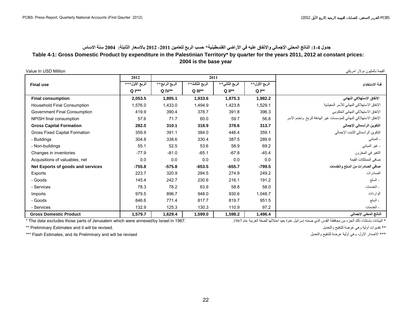### جدول 4-1: الناتج المحلي الإجمالي والإنفاق عليه في الأراضي الفلسطينية\* حسب الربع للعامين 2011، 2012 بالاسعار الثابتة: 2004 سنة الاساس

# **Table 4-1: Gross Domestic Product by expenditure in the Palestinian Territory\* by quarter for the years 2011, 2012 at constant prices:**

**2004 is the base year**

|                                      | 2012           |                | 2011           |                    |               |                                                                   |
|--------------------------------------|----------------|----------------|----------------|--------------------|---------------|-------------------------------------------------------------------|
| <b>Final use</b>                     | الربع الأول*** | الربع الرابع** | الربع الثالث** | الربع الثاني**     | الربع الأول** | فئة الاستخدام                                                     |
|                                      | $Q ***$        | $Q IV**$       | $Q$ $   **$    | $Q \parallel^{**}$ | $Q \mid^{**}$ |                                                                   |
| <b>Final consumption</b>             | 2,053.5        | 1,895.1        | 1,933.6        | 1,875.3            | 1,982.2       | الإنفاق الاستهلاكي النهائي                                        |
| <b>Household Final Consumption</b>   | 1,576.0        | 1,433.0        | 1,494.9        | 1,423.8            | 1,529.1       | الإنفاق الاستهلاكي النهائي للأسر المعيشية                         |
| Government Final Consumption         | 419.9          | 390.4          | 378.7          | 391.8              | 396.3         | الإنفاق الاستهلاكي النهائي الحكومي                                |
| NPISH final consumption              | 57.6           | 71.7           | 60.0           | 59.7               | 56.8          | الإنفاق الاستهلاكي النهائي للمؤسسات غير الهادفة للربح وتخدم الأسر |
| <b>Gross Capital Formation</b>       | 282.0          | 310.1          | 318.9          | 378.6              | 313.7         | التكوين الرأسمالي الإجمالي                                        |
| <b>Gross Fixed Capital Formation</b> | 359.9          | 391.1          | 384.0          | 446.4              | 359.1         | النكوين الرأسمالي الثابت الإجمالي                                 |
| - Buildings                          | 304.8          | 338.6          | 330.4          | 387.5              | 289.9         | ۔ المباني                                                         |
| - Non-buildings                      | 55.1           | 52.5           | 53.6           | 58.9               | 69.2          | ۔ غیر المبانی                                                     |
| Changes in inventories               | $-77.9$        | $-81.0$        | $-65.1$        | $-67.8$            | $-45.4$       | التغير في المخزون                                                 |
| Acquisitions of valuables, net       | 0.0            | 0.0            | 0.0            | 0.0                | 0.0           | صافى الممتلكات القيمة                                             |
| Net Exports of goods and services    | $-755.8$       | $-575.8$       | $-653.5$       | $-655.7$           | $-799.5$      | صافي الصادرات من السلع والخدمات                                   |
| Exports                              | 223.7          | 320.9          | 294.5          | 274.9              | 249.2         | الصادر ات                                                         |
| - Goods                              | 145.4          | 242.7          | 230.6          | 216.1              | 191.2         | - السلع                                                           |
| - Services                           | 78.3           | 78.2           | 63.9           | 58.8               | 58.0          | - الخدمات                                                         |
| Imports                              | 979.5          | 896.7          | 948.0          | 930.6              | 1,048.7       | الواردات                                                          |
| - Goods                              | 846.6          | 771.4          | 817.7          | 819.7              | 951.5         | ۔ السلع                                                           |
| - Services                           | 132.9          | 125.3          | 130.3          | 110.9              | 97.2          | - الخدمات                                                         |
| <b>Gross Domestic Product</b>        | 1,579.7        | 1,629.4        | 1,599.0        | 1,598.2            | 1,496.4       | الناتج المحلي الإجمالي                                            |

22

\* البيانات باستثناء ذلك الجزء من محافظة القدس الذي ضمته إسرائيل عنوة بعيد احتلالها للضفة الغربية عام 1967 .<br>\* البيانات باستثناء ذلك الجزء من محافظة القدس الذي ضمته إسرائيل عنوة بعيد احتلالها للضفة الغربية عام 1967 .

\*\* Preliminary Estimates and it will be revised.<br>\*\*\* Flash Estimates, and its Preliminary and will be revised الإصدار الأول، وهي أولية عرضة للتنقيح والتعديل لل \*\*\* Flash Estimates, and its Preliminary and will be revised

القيمة بالمليون دولار أمريكي Million USD In Value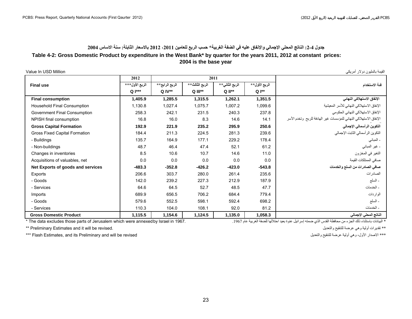#### جدول 4-2: الناتج المحلي الإجمالي والإنفاق عليه في الضفة الغربية\* حسب الربع للعامين 2011، 2012 بالاسعار الثابتة: سنة الاساس 2004

#### **Table 4-2: Gross Domestic Product by expenditure in the West Bank\* by quarter for the years 2011, 2012 at constant prices:**

**2004 is the base year**

القيمة بالمليون دولار أمريكي Million USD In Value

|                                      | 2012           |                |                | 2011                   |               |                                                                   |
|--------------------------------------|----------------|----------------|----------------|------------------------|---------------|-------------------------------------------------------------------|
| <b>Final use</b>                     | الربع الأول*** | الربع الرابع** | الربع الثالث** | الربع الثان <i>ي**</i> | الربع الأول** | فئة الاستخدام                                                     |
|                                      | $Q ***$        | $Q IV**$       | $Q$ $   **$    | $Q \parallel^{**}$     | $Q \mid^{**}$ |                                                                   |
| <b>Final consumption</b>             | 1,405.9        | 1,285.5        | 1,315.5        | 1,262.1                | 1,351.5       | الإنفاق الاستهلاكي النهائي                                        |
| <b>Household Final Consumption</b>   | 1,130.8        | 1,027.4        | 1,075.7        | 1,007.2                | 1,099.6       | الإنفاق الاستهلاكي النهائي للأسر المعيشية                         |
| Government Final Consumption         | 258.3          | 242.1          | 231.5          | 240.3                  | 237.8         | الإنفاق الاستهلاكي النهائي الحكومي                                |
| NPISH final consumption              | 16.8           | 16.0           | 8.3            | 14.6                   | 14.1          | الإنفاق الاستهلاكي النهائي للمؤسسات غير الهادفة للربح وتخدم الأسر |
| <b>Gross Capital Formation</b>       | 192.9          | 221.9          | 235.2          | 295.9                  | 250.6         | التكوين الرأسمالي الإجمالي                                        |
| <b>Gross Fixed Capital Formation</b> | 184.4          | 211.3          | 224.5          | 281.3                  | 239.6         | النكوين الرأسمالي الثابت الإجمالي                                 |
| - Buildings                          | 135.7          | 164.9          | 177.1          | 229.2                  | 178.4         | ۔ المبانی                                                         |
| - Non-buildings                      | 48.7           | 46.4           | 47.4           | 52.1                   | 61.2          | ۔ غیر المبانی                                                     |
| Changes in inventories               | 8.5            | 10.6           | 10.7           | 14.6                   | 11.0          | التغير في المخزون                                                 |
| Acquisitions of valuables, net       | 0.0            | 0.0            | 0.0            | 0.0                    | 0.0           | صافى الممتلكات القيمة                                             |
| Net Exports of goods and services    | $-483.3$       | $-352.8$       | $-426.2$       | $-423.0$               | $-543.8$      | صافي الصادرات من السلع والخدمات                                   |
| Exports                              | 206.6          | 303.7          | 280.0          | 261.4                  | 235.6         | الصادر ات                                                         |
| - Goods                              | 142.0          | 239.2          | 227.3          | 212.9                  | 187.9         | - السلع                                                           |
| - Services                           | 64.6           | 64.5           | 52.7           | 48.5                   | 47.7          | - الخدمات                                                         |
| Imports                              | 689.9          | 656.5          | 706.2          | 684.4                  | 779.4         | الواردات                                                          |
| - Goods                              | 579.6          | 552.5          | 598.1          | 592.4                  | 698.2         | - السلع                                                           |
| - Services                           | 110.3          | 104.0          | 108.1          | 92.0                   | 81.2          | - الخدمات                                                         |
| <b>Gross Domestic Product</b>        | 1,115.5        | 1,154.6        | 1,124.5        | 1,135.0                | 1,058.3       | الناتج المحلي الإجمالي                                            |

\* البيانات باستثناء ذلك الجزء من محافظة القدس الذي ضمته إسرائيل عنوة بعيد احتلالها للضفة الغربية عام .1967 1967. in Israel by annexed were which Jerusalem of parts those excludes data The\*

\*\* Preliminary Estimates and it will be revised. والتعديل التنقيح والتعديل للتنقيح والتعديل للتنقيح عرضة للتنقيح والتعديل للتنقيح عرضة للتنقيح والتعديل للتنقيح عرضة للتنقيح والتعديل للتنقيح عرضة للتنقيح والتعديل للتنقيح و

\*\*\* Flash Estimates, and its Preliminary and will be revised والتعديل للتنقيح عرضة أولية وهي ،الأول الاصدار\*\*\*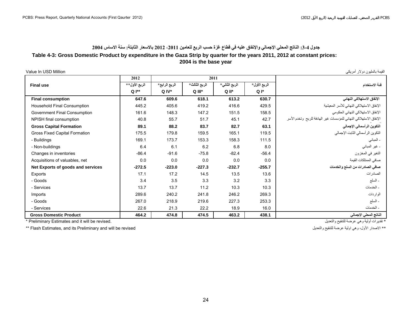# جدول 4-3: الناتج المحلي الإجمالي والإنفاق عليه في قطاع غزة حسب الربع للعامين 2011، 2012 بالاسعار الثابتة: سنة الاساس 2004

#### **Table 4-3: Gross Domestic Product by expenditure in the Gaza Strip by quarter for the years 2011, 2012 at constant prices:**

**2004 is the base year**

| Value In USD Million                 |               |               |               |               |              | القيمة بالمليون دولار أمريكي                                      |  |
|--------------------------------------|---------------|---------------|---------------|---------------|--------------|-------------------------------------------------------------------|--|
|                                      | 2012          |               |               | 2011          |              |                                                                   |  |
| <b>Final use</b>                     | الربع الأول** | الربع الرابع* | الربع الثالث* | الربع الثاني* | الربع الأول* | فئة الاستخدام                                                     |  |
|                                      | $Q \mid^{**}$ | Q IV*         | $Q$ $   $ *   | Q II*         | $Q I^*$      |                                                                   |  |
| <b>Final consumption</b>             | 647.6         | 609.6         | 618.1         | 613.2         | 630.7        | الإنفاق الاستهلاكي النهائي                                        |  |
| Household Final Consumption          | 445.2         | 405.6         | 419.2         | 416.6         | 429.5        | الإنفاق الاستهلاكي النهائي للأسر المعيشية                         |  |
| Government Final Consumption         | 161.6         | 148.3         | 147.2         | 151.5         | 158.5        | الإنفاق الاستهلاكي النهائي الحكومي                                |  |
| NPISH final consumption              | 40.8          | 55.7          | 51.7          | 45.1          | 42.7         | الإنفاق الاستهلاكي النهائي للمؤسسات غير الهادفة للربح وتخدم الأسر |  |
| <b>Gross Capital Formation</b>       | 89.1          | 88.2          | 83.7          | 82.7          | 63.1         | التكوين الرأسمالي الإجمالي                                        |  |
| <b>Gross Fixed Capital Formation</b> | 175.5         | 179.8         | 159.5         | 165.1         | 119.5        | التكوين الرأسمالي الثابت الإجمالي                                 |  |
| - Buildings                          | 169.1         | 173.7         | 153.3         | 158.3         | 111.5        | ۔ المباني                                                         |  |
| - Non-buildings                      | 6.4           | 6.1           | 6.2           | 6.8           | 8.0          | ۔ غير المباني                                                     |  |
| Changes in inventories               | $-86.4$       | $-91.6$       | $-75.8$       | $-82.4$       | $-56.4$      | التغير في المخزون                                                 |  |
| Acquisitions of valuables, net       | 0.0           | 0.0           | 0.0           | 0.0           | 0.0          | صافي الممتلكات القيمة                                             |  |
| Net Exports of goods and services    | $-272.5$      | $-223.0$      | $-227.3$      | $-232.7$      | $-255.7$     | صافي الصادرات من السلع والخدمات                                   |  |
| Exports                              | 17.1          | 17.2          | 14.5          | 13.5          | 13.6         | الصادرات                                                          |  |
| - Goods                              | 3.4           | 3.5           | 3.3           | 3.2           | 3.3          | - السلع                                                           |  |
| - Services                           | 13.7          | 13.7          | 11.2          | 10.3          | 10.3         | - الخدمات                                                         |  |
| Imports                              | 289.6         | 240.2         | 241.8         | 246.2         | 269.3        | الواردات                                                          |  |
| - Goods                              | 267.0         | 218.9         | 219.6         | 227.3         | 253.3        | - السلع                                                           |  |
| - Services                           | 22.6          | 21.3          | 22.2          | 18.9          | 16.0         | - الخدمات                                                         |  |
| <b>Gross Domestic Product</b>        | 464.2         | 474.8         | 474.5         | 463.2         | 438.1        | الناتج المحلي الإجمالي                                            |  |

\* تقديرات أولية وهي عرضة للتنقيح والتعديل للتنقيح والتعديل للتنقيح والتعديل للتنقيح والتعديل للتنقيح عرضة للتنقيح والتعديل

\*\* Flash Estimates, and its Preliminary and will be revised والتعديل للتنقيح عرضة اولية وهي ،الأول الاصدار\*\*